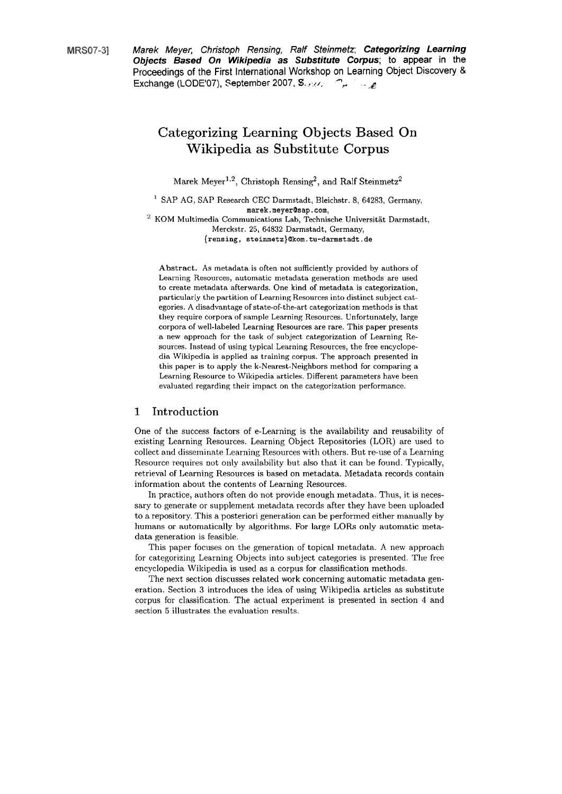**MRS07-31** 

Marek Meyer, Christoph Rensing, Ralf Steinmetz; **Categorizing Learning Objects Based On Wikipedia as Substitute Corpus; to** appear in the Proceedings of the First International Workshop on Learning Object Discovery & Marek Meyer, Christoph Rensing, Ralt Steinmetz; Ca<br>Objects Based On Wikipedia as Substitute Corpu<br>Proceedings of the First International Workshop on Learnii<br>Exchange (LODE'07), September 2007, S.

# Categorizing Learning Objects Based On Wikipedia as Substitute Corpus

Marek Meyer<sup>1,2</sup>, Christoph Rensing<sup>2</sup>, and Ralf Steinmetz<sup>2</sup>

<sup>1</sup> SAP AG, SAP Research CEC Darmstadt, Bleichstr. 8, 64283, Germany, **marek.meyerQsap.com,**   $^2\,$  KOM Multimedia Communications Lab, Technische Universität Darmstadt,

Merckstr. 25, 64832 Darmstadt, Germany, **{rensing, steinmetz)bkom.tu-darmstadt.de** 

Abstract. As metadata is often not sufficiently provided by authors of Learning Resources, automatic metadata generation methods are used to create metadata afterwards. One kind of metadata is categorization, particularly the partition of Learning Resources into distinct subject categories. A disadvantage of state-of-the-art categorization methods is that they require corpora of sample Learning Resources. Unfortunately, large corpora of well-labeled Learning Resources are rare. This paper presents a new approach for the task of subject categorization of Learning Resources. Instead of using typical Learning Resources, the free encyclopedia Wikipedia is applied as training corpus. The approach presented in this paper is to apply the k-Nearest-Neighbors method for comparing a Learning Resource to Wikipedia articles. Different parameters have been evaluated regarding their impact on the categorization performance.

#### **1** Introduction

One of the success factors of e-Learning is the availability and reusability of existing Learning Resources. Learning Object Repositories (LOR) are used to collect and disseminate Learning Resources with others. But re-use of a Learning Resource requires not only availability but also that it can be found. Typically, retrieval of Learning Resources is based on metadata. Metadata records contain inforrnation about the contents of Learning Resources.

In practice, authors often do not provide enough metadata. Thus, it is necessary to generate or supplement metadata records after they have been uploaded to a repository. This a posteriori generation can be performed either manually by humans or automatically by algorithms. For large LORs only automatic metadata generation is feasible.

This paper focuses on the generation of topical metadata. **A** new approach for categorizing Learning Objects into subject categories is presented. The free encyclopedia Wikipedia is used **as** a corpus for classification methods.

The next section discusses related work concerning automatic metadata generation. Section **3** introduces the idea of using Wikipedia articles **as** substitute corpus for classification. The actual experiment is presented in section 4 and section 5 illustrates the evaluation results.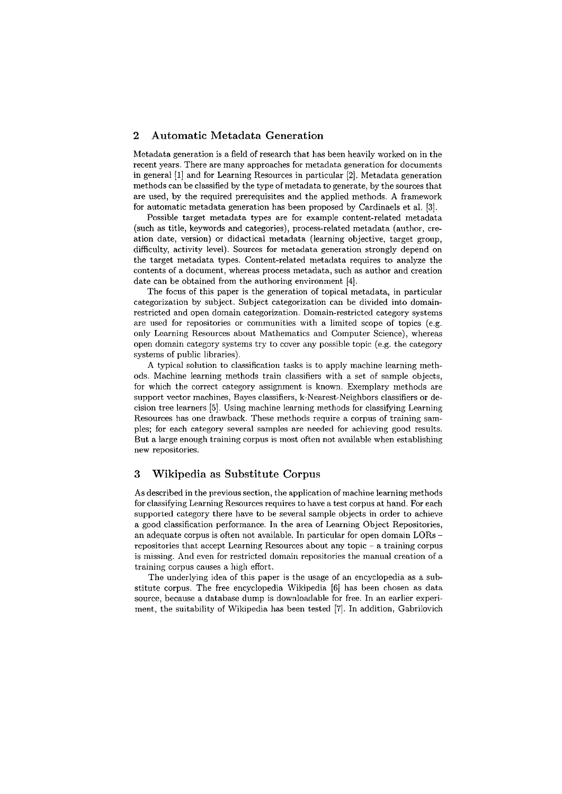### **2 Autornatic Metadata Generation**

Metadata generation is a field of research that has been heavily worked on in the recent years. There are many approaches for metadata generation for documents in general [l] and for Learning Resources in particular **[2].** Metadata generation methods can be classified by the type of metadata to generate, by the sources that are used, by the required prerequisites and the applied methods. A framework for automatic metadata generation has been proposed by Cardinaels et al. [3].

Possible target metadata types are for example content-related metadata (such as title, keywords and categories) , process-related metadata (author, creation date, version) or didactical metadata (learning objective, target group, difficulty, activity level). Sources for metadata generation strongly depend on the target metadata types. Content-related metadata requires to analyze the contents of a document, whereas process metadata, such as author and creation date can be obtained from the authoring environment [4].

The focus of this paper is the generation of topical metadata, in particular categorization by subject. Subject categorization can be divided into domainrestricted and Open domain categorixation. Domain-restricted category systems are used for repositories or communities with a limited scope of topics (e.g. only Learning Resources about Mathematics and Computer Science), whereas open domain category systems try to cover any possible topic (e.g. the category systems of public libraries).

A typical solution to classification tasks is to apply machine learning methocls. Machine learning methods train classifiers with a set of sample objects, for which the correct category assignment is known. Exemplary methods are support vector machines, Bayes classifiers, k-Nearest-Neighbors classifiers or decision tree learners [5]. Using machine learning methods for classifying Learning Resources has one drawback. These methods require a corpus of training samples; for each category several samples are needed for achieving good results. But a large enough training corpus is most oken not available when establishing new repositories.

# **3 Wikipedia as Substitute Corpus**

As described in the previous section, the application of machine learning methods for classifying Learning Resources requires to have a test corpus at hand. For each supported category there have to be several sample objects in order to achieve a good classification performance. In the area of Learning Object Repositories, an adequate corpus is often not available. In particular for Open domain LORs repositories that accept Learning Resources about any topic  $-$  a training corpus is missing. And even for restricted domain repositories the manual creation of a training corpus causes a high effort.

The underlying idea of this paper is the usage of an encyclopedia as a substitute corpus. The free encyclopedia Wilcipedia (61 has been chosen **as** data source, because a database dump is downloadable for free. In an earlier experiment, the suitability of Wikipedia has been tested [7]. In addition, Gabrilovich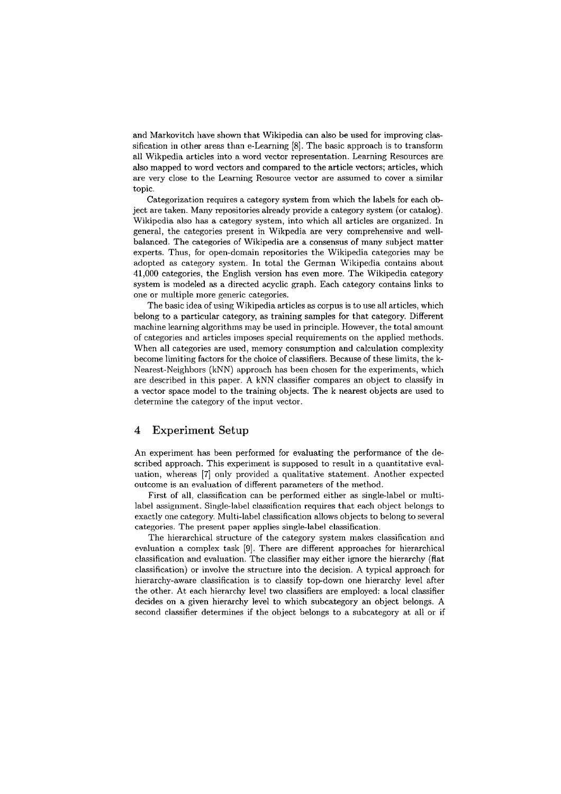and Markovitch have shown that Wikipedia can also be used for improving classification in other areas than e-Learning [8]. The basic approach is to transform all Wikpedia articles into a word vector representation. Learning Resources are also mapped to word vectors and compared to the article vectors; articles, which are very close to the Learning Resource vector are assumed to cover a similar topic.

Categorization requires a category system from which the labels for each object are taken. Many repositories already provide a category system (or catalog). Wikipedia also has a category system, into which all articles are organized. In general, the categories present in Wikpedia are very comprehensive and wellbalanced. The categories of Wikipedia are a Consensus of many subject matter experts. Thus, for open-domain repositories the Wikipedia categories may be adopted as category system. In total the German Wikipedia contains aboiit 41,000 categories, tlie English version has even more. The Wikipedia category system is modeled as a directed acyclic graph. Each category contains links to one or multiple more generic categories.

The basic idea of using Wikipedia articles as corpus is to use all articles, which belong to a particiilar category, as training samples for that category. Different machine learning algorithms may be used in principle. However, the total amount of categories and articles imposes special requirements on the applied methods. When all categories are used, memory consumption and calculation complexity become lirniting factors for the choice of classifiers. Because of these limits, the k-Nearest-Neighbors (kNN) approach has been chosen for the experiments, which are described in this paper. A kNN classifier compares an object to classify in a vector space inodel to the training objects. The k nearest objects are used to determine the category of the input vector.

# **4 Experiment** Setup

An experiment has been performed for evaluating the performance of the described approach. This experiment is supposed to result in a quantitative evaluatiori, whereas [7] only provided **a** qualitative statement. Another expected outcome is an evaluation of different parameters of the method.

First of all, classification can be performed either as single-label or multilabel assignment. Single-label classification requires that each object belongs to exactly one category. Multi-label classification allows objects to belong to several categories. The present paper applies single-label classification.

The hierarchical structure of the category system makes classification and evaluation **n** complex task [9]. There are different approaches for hierarchical classification and evaluation. The classifier may either ignore the hierarchy (flat classificatiori) or involve the structiire into the decision. **A** typical approach for hierarchy-aware classification is to classify top-down one hierarchy level after the other. At each hierarchy level two classifiers are employed: a local classifier decides on a given hierarchy level to which subcategory an object belongs. A second classifier determines if the object belongs to a subcategory at all or if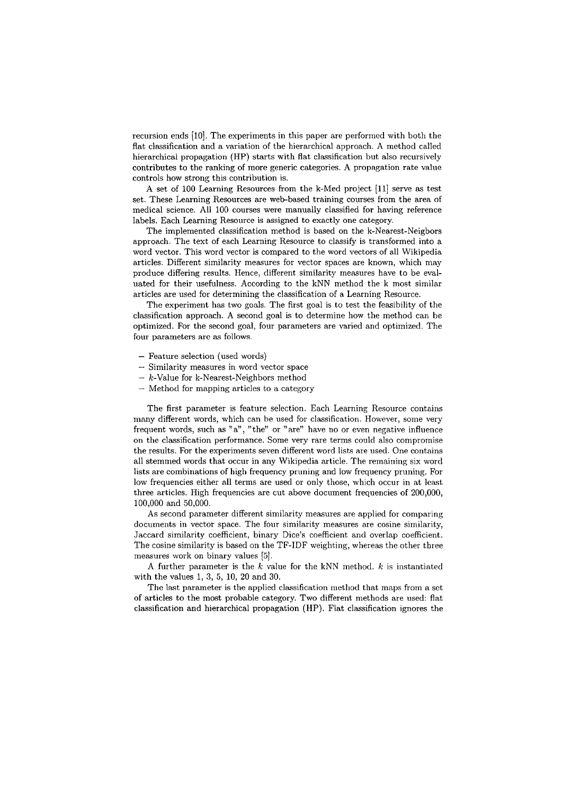recursion ends [10]. The experiments in this paper are performed with both the flat classification and a variation of the hierarchical approach. A method called hierarchical propagation (HP) starts with flat classification but also recursively contributes to the ranking of more generic categories. A propagation rate value controls how strong this contribution is.

A set of 100 Learning Resources from the k-Med project [ll] serve as test set. These Learning Resources are web-based training courses from the area of medical science. All 100 courses were manually classified for having reference labels. Each Learning Resource is assigned to exactly one category.

The implemented classification method is based on the k-Nearest-Neigbors approach. The text of each Learning Resource to classify is transformed into a word vector. This word vector is compared to the word vectors of all Wikipedia articles. Different similarity measures for vector spaces are known, which may produce differing results. Hence, different similarity measures have to be evaluated for their usefulness. According to the kNN method the k most similar articles are used for determining the classification of a Learning Resource.

The experiment has two goals. The first goal is to test the feasibility of the classification approach. **A** second goal is to determine how the method can be optimized. For the second goal, four parameters are varied and optimized. The four parameters are as follows.

- Feature selection (used words)
- Similarity measures in word vector space
- $-$  k-Value for k-Nearest-Neighbors method
- Method for mapping articles to a category

The first parameter is feature selection. Each Learning Resource contains many different words, which can be used for classification. However, some very frequent words, such as "a", "the" or "are" have no or even negative influence on the classification performance. Some very rare terms could also compromise the results. For the experiments seven different word lists are used. One contains all stemnied words that occur in any Wikipedia article. The remaining six word lists are combinations of high frequency pruning and low frequency prunirig. For low frequencies either all terms are used or only those, which occur in at least. three articles. High frequencies are cut above document frequencies of 200,000, 100,000 and 50,000.

As second parameter different similarity measures are applied for comparing documerits in vector space. The four similarity measures are cosine similarity, Jaccard similarity coefficient, binary Dice's coefficient and overlap coefficient. The cosine similarity is based on the TF-IDF weighting, whereas the other three measures work on binary values [5].

A further parameter is the k value for the kNN method.  $k$  is instantiated with the values 1, 3, 5, 10, 20 and 30.

The last parameter is the applied classification method that maps from a set of articles to the most probable category. Two different methods are used: flat classification and hierarchical propagation (HP). Flat classification ignores the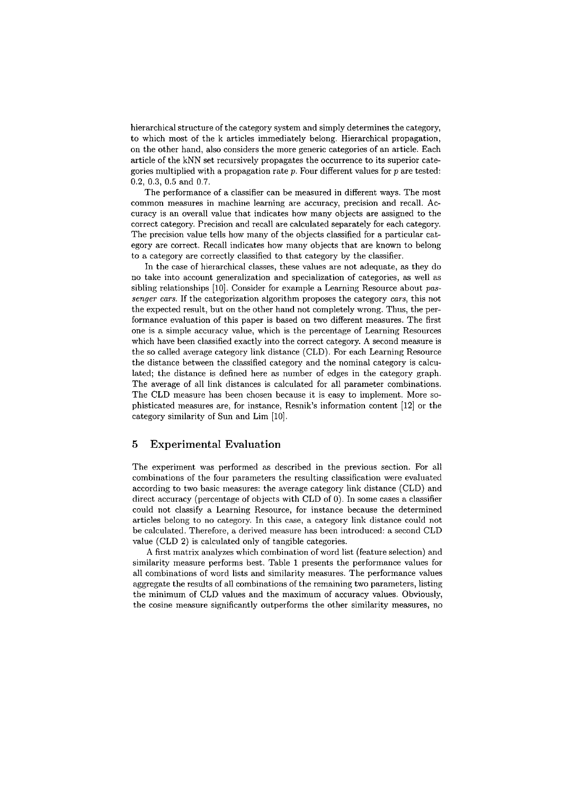hierarchical structure of the category system and simply determines the category, to which most of the k articles immediately belong. Hierarchical propagation, on the other hand, also considers the more generic categories of an article. Each article of the kNN set recursively propagates the occurrence to its superior categories multiplied with a propagation rate *p.* Four different values for p are tested: 0.2, 0.3, 0.5 and 0.7.

The performance of a classifier can be measured in different ways. The most common measures in machine learning are accuracy, precision and recall. Accuracy is an overall value that indicates how many objects are assigned to the correct category. Precision and recall are calculated separately for each category. The precision value tells how many of the objects classified for a particular category are correct. Recall indicates how many objects that are known to belong to a category are correctly classified to that category by the classifier.

In the case of hierarchical classes, these values are not adequate, **as** they do no take into account generalization ancl specialization of categories, as well as sibling relationships [10]. Consider for example a Learning Resource about *passenger cars.* If the categorization algorithm proposes the category *cars,* this not the expected result, but on the other hand not completely wrong. Thus, the performance evaluation of this paper is based on two different measures. The first one is a simple accuracy value, which is the percentage of Learning Resources which have been classified exactly into the correct category. A second measure is the so called average category link distance (CLD). For each Learning Resource the distance between the classified category and the nominal category is calculated; the distance is defined here as number of edges in the category graph. The average of all link distances is calculated for all parameter combinations. The CLD measure has been chosen because it is easy to implement. More sophisticated measures are, for instance, Resnik's information content [12] or the category similarity of Sun and Lim [10].

#### **5 Experimental Evaluation**

The experiment was performed as described in the previous section. For all combinations of the four parameters the resulting classification were evaluated according to two basic measures: the average category link distance (CLD) and direct accuracy (percentage of objects with CLD of 0). In some cases a classifier could not classify a Learning Resource, for instance because the determined articles belong to no category. In this case, a category link distance could not be calculated. Therefore, a derived measure has been introduced: a second CLD value (CLD 2) is calculated only of tangible categories.

A first matrix analyzes which combination of word list (feature selection) and similarity measure performs best. Table 1 presents the performance values for all combinations of word lists and similarity measures. The performance values aggregate the results of all combinations of the remaining two parameters, listing the minimum of CLD values and the maximum of accuracy values. Obviously, the cosine measure significantly outperforms the other similarity measures, no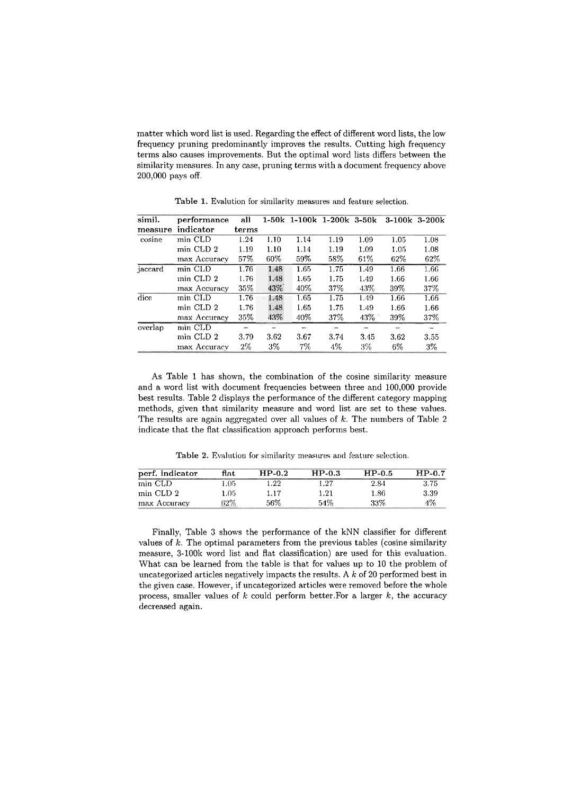matter which word list is used. Regarding the effect of different word lists, the low frequency pruning predominantly improves the results. Cutting high frequency terms also causes improvements. But the optimal word lists differs between the similarity measures. In any case, pruning terms with a document frequency above 200,000 pays off.

| simil.  | performance  | all   |      |       | 1-50k 1-100k 1-200k 3-50k |      |      | $3-100k$ $3-200k$ |
|---------|--------------|-------|------|-------|---------------------------|------|------|-------------------|
| measure | indicator    | terms |      |       |                           |      |      |                   |
| cosine  | min CLD      | 1.24  | 1.10 | 1.14  | 1.19                      | 1.09 | 1.05 | 1.08              |
|         | min CLD 2    | 1.19  | 1.10 | 1.14  | 1.19                      | 1.09 | 1.05 | 1.08              |
|         | max Accuracy | 57%   | 60%  | 59%   | 58%                       | 61%  | 62%  | 62%               |
| jaccard | min CLD      | 1.76  | 1.48 | 1.65  | 1.75                      | 1.49 | 1.66 | 1.66              |
|         | min CLD 2    | 1.76  | 1.48 | 1.65  | 1.75                      | 1.49 | 1.66 | 1.66              |
|         | max Accuracy | 35%   | 43%  | 40%   | 37%                       | -43% | 39%  | 37%               |
| dice    | min CLD      | 1.76  | 1.48 | 1.65  | 1.75                      | 1.49 | 1.66 | 1.66              |
|         | min CLD 2    | 1.76  | 1.48 | 1.65  | 1.75                      | 1.49 | 1.66 | 1.66              |
|         | max Accuracy | 35%   | 43%  | 40%   | 37%                       | 43%  | 39%  | 37%               |
| overlap | min CLD      |       |      |       |                           |      |      |                   |
|         | min CLD 2    | 3.79  | 3.62 | 3.67  | 3.74                      | 3.45 | 3.62 | 3.55              |
|         | max Accuracy | $2\%$ | 3%   | $7\%$ | $4\%$                     | 3%   | 6%   | 3%                |

Table 1. Evalution for similarity measures and feature selection.

As Table 1 has shown, the combination of the cosine similarity measure and a word list with document frequencies between three and 100,000 provide best results. Table 2 displays the performance of the different category mapping methods, given that similarity measure and word list are set to these values. The results are again aggregated over all values of  $k$ . The numbers of Table 2 indicate that the flat classification approach performs best.

Table 2. Evalution for similarity measures and feature selection.

| perf. indicator | flat.  | $HP-0.2$ | $HP-0.3$ | $HP-0.5$ | $HP-0.7$ |
|-----------------|--------|----------|----------|----------|----------|
| min CLD         | ۔ 05ء  | 1.22     | 1.27     | 2.84     | 3.75     |
| min CLD 2       | 1.05   | 1.17     | 1.21     | 1.86     | 3.39     |
| max Accuracy    | $32\%$ | 56%      | 54%      | 33%      | 4%       |

Finally, Table **3** shows the performance of the kNN classifier for different values of k. The optimal parameters from the previous tables (cosine similarity measure, 3-100k word list and flat classification) are used for this evaluation. What can be learned from the table is that for values up to 10 the problem of uncategorized articles negatively impacts the results. A  $k$  of 20 performed best in the given case. However, if uncategorized articles were removed before the whole process, smaller values of  $k$  could perform better. For a larger  $k$ , the accuracy decreased again.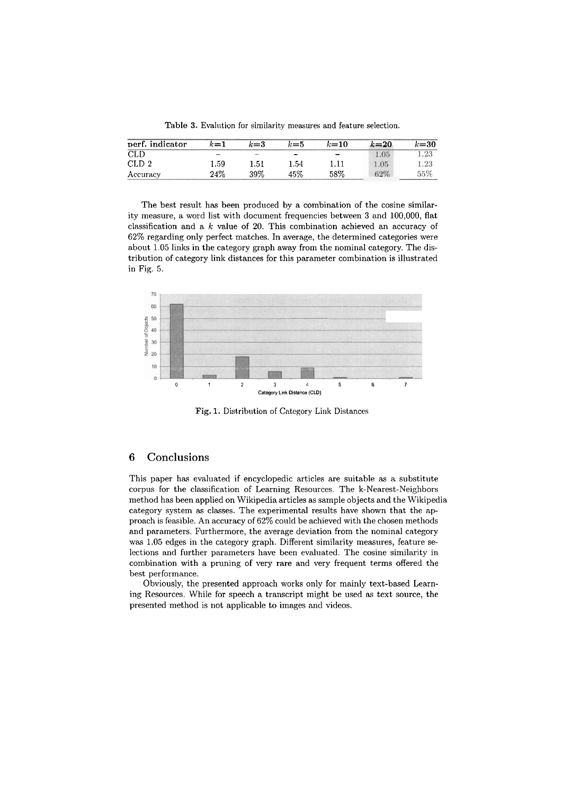Table 3. Evalution for similarity measures and feature selection.

| perf. indicator  | $k$ =1 | $k = 3$ | к≔5                      | $k = 10$ | $k=20$ | $k$ =30 |
|------------------|--------|---------|--------------------------|----------|--------|---------|
| CLD              |        |         | $\overline{\phantom{a}}$ | $\sim$   | 1.05   | 1.23    |
| CLD <sub>2</sub> | 1.59   | 1.51    | 1.54                     |          | 1.05   | 1.23    |
| Accuracy         | 24%    | 39%     | 45%                      | 58%      | 62%    | 55%     |

The best result has been produced by a combination of the cosine similarity measure, a word list with document frequencies between **3** and 100,000, flat classification and a *k* value of 20. This combination achieved an accuracy of 62% regarding only perfect matches. In average, the determined categories were about 1.05 links in the category graph away from the nominal category. The distribution of category link distances for this parameter combination is illustrated in Fig. 5.



Fig. 1. Distribution of Category Link Distances

# **6 Conclusions**

This paper has evaluated if encyclopedic articles are suitable as a substitute corpus for the classification of Learning Resources. The k-Nearest-Neighbors method has been applied on Wikipedia articles as sample objects and the Wikipedia category System **as** classes. The experimental results have shown that the ap proach is feasible. An accuracy of 62% could be achieved with the chosen methods and parameters. Furthermore, the average deviation from the nominal category was 1.05 edges in the category graph. Different similarity measures, feature selections and further parameters have been evaluated. The cosine similarity in combination with a pruning of very rare and very frequent terms offered the best performance.

Obviously, the presented approach works only for mainly text-based Learning Resources. While for speech a transcript might be used as text source, the presented method is not applicable to images and videos.